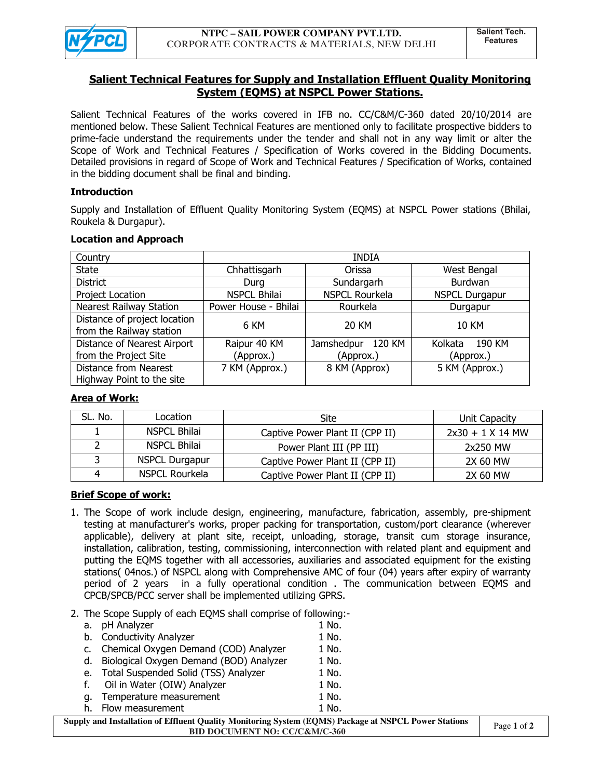

# **Salient Technical Features for Supply and Installation Effluent Quality Monitoring System (EQMS) at NSPCL Power Stations.**

Salient Technical Features of the works covered in IFB no. CC/C&M/C-360 dated 20/10/2014 are mentioned below. These Salient Technical Features are mentioned only to facilitate prospective bidders to prime-facie understand the requirements under the tender and shall not in any way limit or alter the Scope of Work and Technical Features / Specification of Works covered in the Bidding Documents. Detailed provisions in regard of Scope of Work and Technical Features / Specification of Works, contained in the bidding document shall be final and binding.

## **Introduction**

Supply and Installation of Effluent Quality Monitoring System (EQMS) at NSPCL Power stations (Bhilai, Roukela & Durgapur).

### **Location and Approach**

| Country                                                  | <b>INDIA</b>         |                       |                       |  |
|----------------------------------------------------------|----------------------|-----------------------|-----------------------|--|
| <b>State</b>                                             | Chhattisgarh         | Orissa                | West Bengal           |  |
| <b>District</b>                                          | Durg                 | Sundargarh            | Burdwan               |  |
| Project Location                                         | <b>NSPCL Bhilai</b>  | <b>NSPCL Rourkela</b> | <b>NSPCL Durgapur</b> |  |
| <b>Nearest Railway Station</b>                           | Power House - Bhilai | Rourkela              | Durgapur              |  |
| Distance of project location<br>from the Railway station | 6 KM                 | 20 KM                 | <b>10 KM</b>          |  |
| Distance of Nearest Airport                              | Raipur 40 KM         | Jamshedpur<br>120 KM  | 190 KM<br>Kolkata     |  |
| from the Project Site                                    | (Approx.)            | (Approx.)             | (Approx.)             |  |
| Distance from Nearest<br>Highway Point to the site       | 7 KM (Approx.)       | 8 KM (Approx)         | 5 KM (Approx.)        |  |

## **Area of Work:**

| SL. No. | Location              | Site                            | Unit Capacity      |
|---------|-----------------------|---------------------------------|--------------------|
|         | <b>NSPCL Bhilai</b>   | Captive Power Plant II (CPP II) | $2x30 + 1$ X 14 MW |
|         | <b>NSPCL Bhilai</b>   | Power Plant III (PP III)        | 2x250 MW           |
|         | <b>NSPCL Durgapur</b> | Captive Power Plant II (CPP II) | 2X 60 MW           |
|         | NSPCL Rourkela        | Captive Power Plant II (CPP II) | 2X 60 MW           |

## **Brief Scope of work:**

- 1. The Scope of work include design, engineering, manufacture, fabrication, assembly, pre-shipment testing at manufacturer's works, proper packing for transportation, custom/port clearance (wherever applicable), delivery at plant site, receipt, unloading, storage, transit cum storage insurance, installation, calibration, testing, commissioning, interconnection with related plant and equipment and putting the EQMS together with all accessories, auxiliaries and associated equipment for the existing stations( 04nos.) of NSPCL along with Comprehensive AMC of four (04) years after expiry of warranty period of 2 years in a fully operational condition . The communication between EQMS and CPCB/SPCB/PCC server shall be implemented utilizing GPRS.
- 2. The Scope Supply of each EQMS shall comprise of following:-

| а.                                                                   | pH Analyzer                             | 1 No. |  |  |
|----------------------------------------------------------------------|-----------------------------------------|-------|--|--|
| b.                                                                   | <b>Conductivity Analyzer</b>            | 1 No. |  |  |
| c.                                                                   | Chemical Oxygen Demand (COD) Analyzer   | 1 No. |  |  |
| d.                                                                   | Biological Oxygen Demand (BOD) Analyzer | 1 No. |  |  |
| e.                                                                   | Total Suspended Solid (TSS) Analyzer    | 1 No. |  |  |
| f.                                                                   | Oil in Water (OIW) Analyzer             | 1 No. |  |  |
| а.                                                                   | Temperature measurement                 | 1 No. |  |  |
| h.                                                                   | Flow measurement                        | 1 No. |  |  |
| nly and Installation of Effluent Quality Monitoring System (EQMS) Ps |                                         |       |  |  |

| Supply and Installation of Effluent Quality Monitoring System (EQMS) Package at NSPCL Power Stations |  |
|------------------------------------------------------------------------------------------------------|--|
| <b>BID DOCUMENT NO: CC/C&amp;M/C-360</b>                                                             |  |